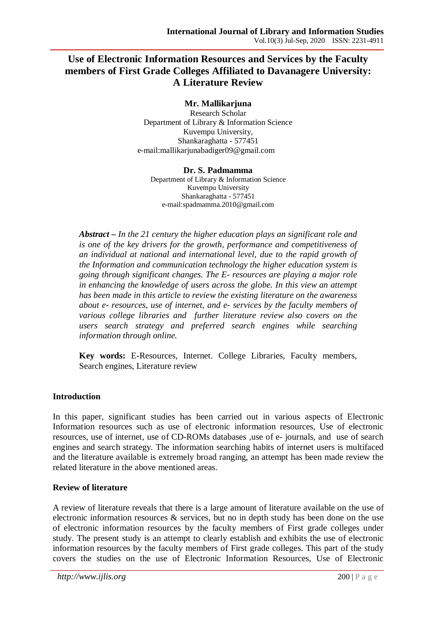# **Use of Electronic Information Resources and Services by the Faculty members of First Grade Colleges Affiliated to Davanagere University: A Literature Review**

#### **Mr. Mallikarjuna**

Research Scholar Department of Library & Information Science Kuvempu University, Shankaraghatta - 577451 e-mail:mallikarjunabadiger09@gmail.com

#### **Dr. S. Padmamma**

Department of Library & Information Science Kuvempu University Shankaraghatta - 577451 e-mail:spadmamma.2010@gmail.com

*Abstract – In the 21 century the higher education plays an significant role and is one of the key drivers for the growth, performance and competitiveness of an individual at national and international level, due to the rapid growth of the Information and communication technology the higher education system is going through significant changes. The E- resources are playing a major role in enhancing the knowledge of users across the globe. In this view an attempt has been made in this article to review the existing literature on the awareness about e- resources, use of internet, and e- services by the faculty members of various college libraries and further literature review also covers on the users search strategy and preferred search engines while searching information through online.*

**Key words:** E-Resources, Internet. College Libraries, Faculty members, Search engines, Literature review

## **Introduction**

In this paper, significant studies has been carried out in various aspects of Electronic Information resources such as use of electronic information resources, Use of electronic resources, use of internet, use of CD-ROMs databases ,use of e- journals, and use of search engines and search strategy. The information searching habits of internet users is multifaced and the literature available is extremely broad ranging, an attempt has been made review the related literature in the above mentioned areas.

## **Review of literature**

A review of literature reveals that there is a large amount of literature available on the use of electronic information resources & services, but no in depth study has been done on the use of electronic information resources by the faculty members of First grade colleges under study. The present study is an attempt to clearly establish and exhibits the use of electronic information resources by the faculty members of First grade colleges. This part of the study covers the studies on the use of Electronic Information Resources, Use of Electronic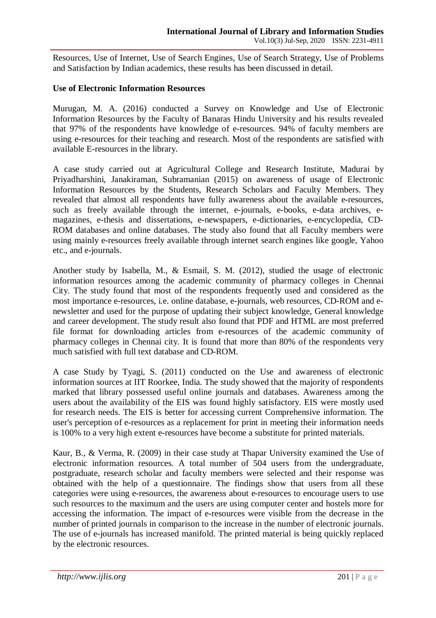Resources, Use of Internet, Use of Search Engines, Use of Search Strategy, Use of Problems and Satisfaction by Indian academics, these results has been discussed in detail.

#### **Use of Electronic Information Resources**

Murugan, M. A. (2016) conducted a Survey on Knowledge and Use of Electronic Information Resources by the Faculty of Banaras Hindu University and his results revealed that 97% of the respondents have knowledge of e-resources. 94% of faculty members are using e-resources for their teaching and research. Most of the respondents are satisfied with available E-resources in the library.

A case study carried out at Agricultural College and Research Institute, Madurai by Priyadharshini, Janakiraman, Subramanian (2015) on awareness of usage of Electronic Information Resources by the Students, Research Scholars and Faculty Members. They revealed that almost all respondents have fully awareness about the available e-resources, such as freely available through the internet, e-journals, e-books, e-data archives, emagazines, e-thesis and dissertations, e-newspapers, e-dictionaries, e-encyclopedia, CD-ROM databases and online databases. The study also found that all Faculty members were using mainly e-resources freely available through internet search engines like google, Yahoo etc., and e-journals.

Another study by Isabella, M., & Esmail, S. M. (2012), studied the usage of electronic information resources among the academic community of pharmacy colleges in Chennai City. The study found that most of the respondents frequently used and considered as the most importance e-resources, i.e. online database, e-journals, web resources, CD-ROM and enewsletter and used for the purpose of updating their subject knowledge, General knowledge and career development. The study result also found that PDF and HTML are most preferred file format for downloading articles from e-resources of the academic community of pharmacy colleges in Chennai city. It is found that more than 80% of the respondents very much satisfied with full text database and CD-ROM.

A case Study by Tyagi, S. (2011) conducted on the Use and awareness of electronic information sources at IIT Roorkee, India. The study showed that the majority of respondents marked that library possessed useful online journals and databases. Awareness among the users about the availability of the EIS was found highly satisfactory. EIS were mostly used for research needs. The EIS is better for accessing current Comprehensive information. The user's perception of e-resources as a replacement for print in meeting their information needs is 100% to a very high extent e-resources have become a substitute for printed materials.

Kaur, B., & Verma, R. (2009) in their case study at Thapar University examined the Use of electronic information resources. A total number of 504 users from the undergraduate, postgraduate, research scholar and faculty members were selected and their response was obtained with the help of a questionnaire. The findings show that users from all these categories were using e-resources, the awareness about e-resources to encourage users to use such resources to the maximum and the users are using computer center and hostels more for accessing the information. The impact of e-resources were visible from the decrease in the number of printed journals in comparison to the increase in the number of electronic journals. The use of e-journals has increased manifold. The printed material is being quickly replaced by the electronic resources.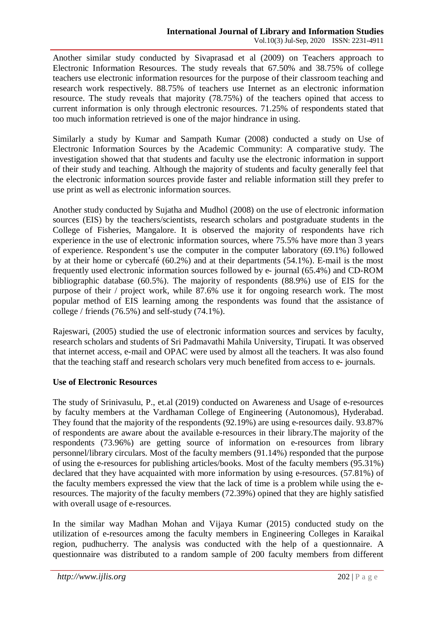Another similar study conducted by Sivaprasad et al (2009) on Teachers approach to Electronic Information Resources. The study reveals that 67.50% and 38.75% of college teachers use electronic information resources for the purpose of their classroom teaching and research work respectively. 88.75% of teachers use Internet as an electronic information resource. The study reveals that majority (78.75%) of the teachers opined that access to current information is only through electronic resources. 71.25% of respondents stated that too much information retrieved is one of the major hindrance in using.

Similarly a study by Kumar and Sampath Kumar (2008) conducted a study on Use of Electronic Information Sources by the Academic Community: A comparative study. The investigation showed that that students and faculty use the electronic information in support of their study and teaching. Although the majority of students and faculty generally feel that the electronic information sources provide faster and reliable information still they prefer to use print as well as electronic information sources.

Another study conducted by Sujatha and Mudhol (2008) on the use of electronic information sources (EIS) by the teachers/scientists, research scholars and postgraduate students in the College of Fisheries, Mangalore. It is observed the majority of respondents have rich experience in the use of electronic information sources, where 75.5% have more than 3 years of experience. Respondent's use the computer in the computer laboratory (69.1%) followed by at their home or cybercafé (60.2%) and at their departments (54.1%). E-mail is the most frequently used electronic information sources followed by e- journal (65.4%) and CD-ROM bibliographic database (60.5%). The majority of respondents (88.9%) use of EIS for the purpose of their / project work, while 87.6% use it for ongoing research work. The most popular method of EIS learning among the respondents was found that the assistance of college / friends (76.5%) and self-study (74.1%).

Rajeswari, (2005) studied the use of electronic information sources and services by faculty, research scholars and students of Sri Padmavathi Mahila University, Tirupati. It was observed that internet access, e-mail and OPAC were used by almost all the teachers. It was also found that the teaching staff and research scholars very much benefited from access to e- journals.

## **Use of Electronic Resources**

The study of Srinivasulu, P., et.al (2019) conducted on Awareness and Usage of e-resources by faculty members at the Vardhaman College of Engineering (Autonomous), Hyderabad. They found that the majority of the respondents (92.19%) are using e-resources daily. 93.87% of respondents are aware about the available e-resources in their library.The majority of the respondents (73.96%) are getting source of information on e-resources from library personnel/library circulars. Most of the faculty members (91.14%) responded that the purpose of using the e-resources for publishing articles/books. Most of the faculty members (95.31%) declared that they have acquainted with more information by using e-resources. (57.81%) of the faculty members expressed the view that the lack of time is a problem while using the eresources. The majority of the faculty members (72.39%) opined that they are highly satisfied with overall usage of e-resources.

In the similar way Madhan Mohan and Vijaya Kumar (2015) conducted study on the utilization of e-resources among the faculty members in Engineering Colleges in Karaikal region, pudhucherry. The analysis was conducted with the help of a questionnaire. A questionnaire was distributed to a random sample of 200 faculty members from different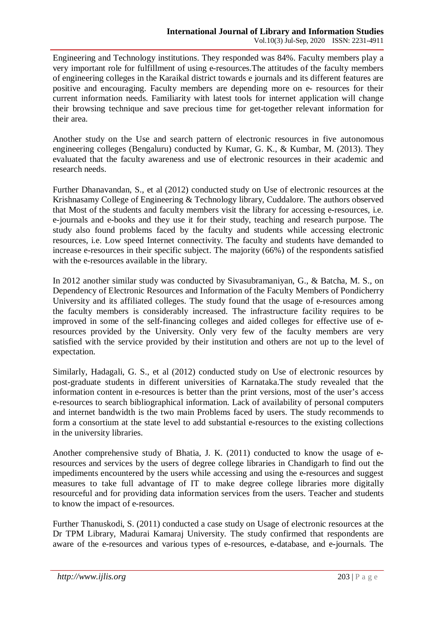Engineering and Technology institutions. They responded was 84%. Faculty members play a very important role for fulfillment of using e-resources.The attitudes of the faculty members of engineering colleges in the Karaikal district towards e journals and its different features are positive and encouraging. Faculty members are depending more on e- resources for their current information needs. Familiarity with latest tools for internet application will change their browsing technique and save precious time for get-together relevant information for their area.

Another study on the Use and search pattern of electronic resources in five autonomous engineering colleges (Bengaluru) conducted by Kumar, G. K., & Kumbar, M. (2013). They evaluated that the faculty awareness and use of electronic resources in their academic and research needs.

Further Dhanavandan, S., et al (2012) conducted study on Use of electronic resources at the Krishnasamy College of Engineering & Technology library, Cuddalore. The authors observed that Most of the students and faculty members visit the library for accessing e-resources, i.e. e-journals and e-books and they use it for their study, teaching and research purpose. The study also found problems faced by the faculty and students while accessing electronic resources, i.e. Low speed Internet connectivity. The faculty and students have demanded to increase e-resources in their specific subject. The majority (66%) of the respondents satisfied with the e-resources available in the library.

In 2012 another similar study was conducted by Sivasubramaniyan, G., & Batcha, M. S., on Dependency of Electronic Resources and Information of the Faculty Members of Pondicherry University and its affiliated colleges. The study found that the usage of e-resources among the faculty members is considerably increased. The infrastructure facility requires to be improved in some of the self-financing colleges and aided colleges for effective use of eresources provided by the University. Only very few of the faculty members are very satisfied with the service provided by their institution and others are not up to the level of expectation.

Similarly, Hadagali, G. S., et al (2012) conducted study on Use of electronic resources by post-graduate students in different universities of Karnataka.The study revealed that the information content in e-resources is better than the print versions, most of the user's access e-resources to search bibliographical information. Lack of availability of personal computers and internet bandwidth is the two main Problems faced by users. The study recommends to form a consortium at the state level to add substantial e-resources to the existing collections in the university libraries.

Another comprehensive study of Bhatia, J. K. (2011) conducted to know the usage of eresources and services by the users of degree college libraries in Chandigarh to find out the impediments encountered by the users while accessing and using the e-resources and suggest measures to take full advantage of IT to make degree college libraries more digitally resourceful and for providing data information services from the users. Teacher and students to know the impact of e-resources.

Further Thanuskodi, S. (2011) conducted a case study on Usage of electronic resources at the Dr TPM Library, Madurai Kamaraj University. The study confirmed that respondents are aware of the e-resources and various types of e-resources, e-database, and e-journals. The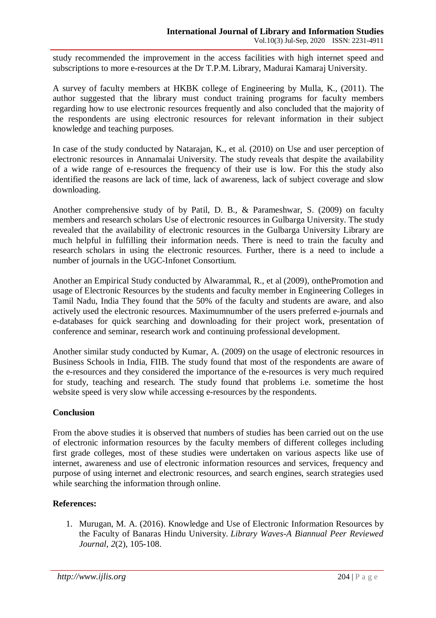study recommended the improvement in the access facilities with high internet speed and subscriptions to more e-resources at the Dr T.P.M. Library, Madurai Kamaraj University.

A survey of faculty members at HKBK college of Engineering by Mulla, K., (2011). The author suggested that the library must conduct training programs for faculty members regarding how to use electronic resources frequently and also concluded that the majority of the respondents are using electronic resources for relevant information in their subject knowledge and teaching purposes.

In case of the study conducted by Natarajan, K., et al. (2010) on Use and user perception of electronic resources in Annamalai University. The study reveals that despite the availability of a wide range of e-resources the frequency of their use is low. For this the study also identified the reasons are lack of time, lack of awareness, lack of subject coverage and slow downloading.

Another comprehensive study of by Patil, D. B., & Parameshwar, S. (2009) on faculty members and research scholars Use of electronic resources in Gulbarga University. The study revealed that the availability of electronic resources in the Gulbarga University Library are much helpful in fulfilling their information needs. There is need to train the faculty and research scholars in using the electronic resources. Further, there is a need to include a number of journals in the UGC-Infonet Consortium.

Another an Empirical Study conducted by Alwarammal, R., et al (2009), onthePromotion and usage of Electronic Resources by the students and faculty member in Engineering Colleges in Tamil Nadu, India They found that the 50% of the faculty and students are aware, and also actively used the electronic resources. Maximumnumber of the users preferred e-journals and e-databases for quick searching and downloading for their project work, presentation of conference and seminar, research work and continuing professional development.

Another similar study conducted by Kumar, A. (2009) on the usage of electronic resources in Business Schools in India, FIIB. The study found that most of the respondents are aware of the e-resources and they considered the importance of the e-resources is very much required for study, teaching and research. The study found that problems i.e. sometime the host website speed is very slow while accessing e-resources by the respondents.

## **Conclusion**

From the above studies it is observed that numbers of studies has been carried out on the use of electronic information resources by the faculty members of different colleges including first grade colleges, most of these studies were undertaken on various aspects like use of internet, awareness and use of electronic information resources and services, frequency and purpose of using internet and electronic resources, and search engines, search strategies used while searching the information through online.

## **References:**

1. Murugan, M. A. (2016). Knowledge and Use of Electronic Information Resources by the Faculty of Banaras Hindu University. *Library Waves-A Biannual Peer Reviewed Journal*, *2*(2), 105-108.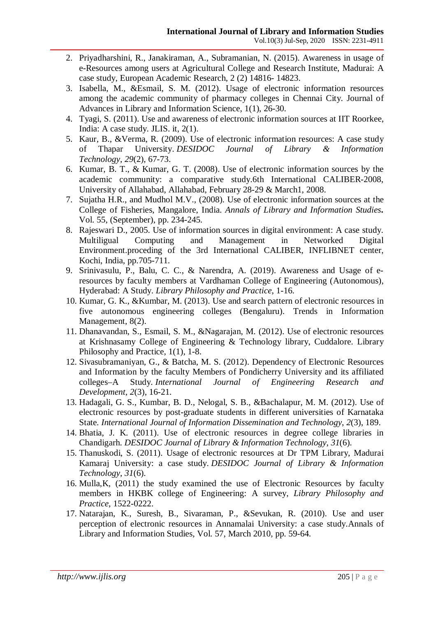- 2. Priyadharshini, R., Janakiraman, A., Subramanian, N. (2015). Awareness in usage of e-Resources among users at Agricultural College and Research Institute, Madurai: A case study, European Academic Research, 2 (2) 14816- 14823.
- 3. Isabella, M., &Esmail, S. M. (2012). Usage of electronic information resources among the academic community of pharmacy colleges in Chennai City. Journal of Advances in Library and Information Science, 1(1), 26-30.
- 4. Tyagi, S. (2011). Use and awareness of electronic information sources at IIT Roorkee, India: A case study. JLIS. it, 2(1).
- 5. Kaur, B., &Verma, R. (2009). Use of electronic information resources: A case study of Thapar University. *DESIDOC Journal of Library & Information Technology*, *29*(2), 67-73.
- 6. Kumar, B. T., & Kumar, G. T. (2008). Use of electronic information sources by the academic community: a comparative study.6th International CALIBER-2008, University of Allahabad, Allahabad, February 28-29 & March1, 2008.
- 7. Sujatha H.R., and Mudhol M.V., (2008). Use of electronic information sources at the College of Fisheries, Mangalore, India. *Annals of Library and Information Studies***.**  Vol. 55, (September), pp. 234-245.
- 8. Rajeswari D., 2005. Use of information sources in digital environment: A case study. Multiligual Computing and Management in Networked Digital Environment.proceding of the 3rd International CALIBER, INFLIBNET center, Kochi, India, pp.705-711.
- 9. Srinivasulu, P., Balu, C. C., & Narendra, A. (2019). Awareness and Usage of eresources by faculty members at Vardhaman College of Engineering (Autonomous), Hyderabad: A Study. *Library Philosophy and Practice*, 1-16.
- 10. Kumar, G. K., &Kumbar, M. (2013). Use and search pattern of electronic resources in five autonomous engineering colleges (Bengaluru). Trends in Information Management, 8(2).
- 11. Dhanavandan, S., Esmail, S. M., &Nagarajan, M. (2012). Use of electronic resources at Krishnasamy College of Engineering & Technology library, Cuddalore. Library Philosophy and Practice, 1(1), 1-8.
- 12. Sivasubramaniyan, G., & Batcha, M. S. (2012). Dependency of Electronic Resources and Information by the faculty Members of Pondicherry University and its affiliated colleges–A Study. *International Journal of Engineering Research and Development*, *2*(3), 16-21.
- 13. Hadagali, G. S., Kumbar, B. D., Nelogal, S. B., &Bachalapur, M. M. (2012). Use of electronic resources by post-graduate students in different universities of Karnataka State. *International Journal of Information Dissemination and Technology*, *2*(3), 189.
- 14. Bhatia, J. K. (2011). Use of electronic resources in degree college libraries in Chandigarh. *DESIDOC Journal of Library & Information Technology*, *31*(6).
- 15. Thanuskodi, S. (2011). Usage of electronic resources at Dr TPM Library, Madurai Kamaraj University: a case study. *DESIDOC Journal of Library & Information Technology*, *31*(6).
- 16. Mulla,K, (2011) the study examined the use of Electronic Resources by faculty members in HKBK college of Engineering: A survey, *Library Philosophy and Practice*, 1522-0222.
- 17. Natarajan, K., Suresh, B., Sivaraman, P., &Sevukan, R. (2010). Use and user perception of electronic resources in Annamalai University: a case study.Annals of Library and Information Studies, Vol. 57, March 2010, pp. 59-64.